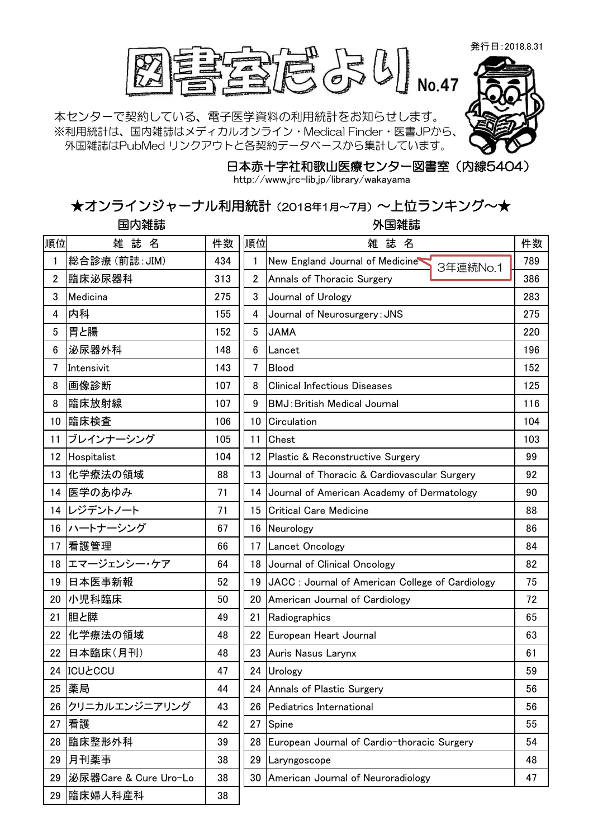発行日:2018.8.31



本センターで契約している、電子医学資料の利用統計をお知らせします。 ※利用統計は、国内雑誌はメディカルオンライン・Medical Finder・医書JPから、 外国雑誌はPubMed リンクアウトと各契約データベースから集計しています。



日本赤十字社和歌山医療センター図書室(内線5404)

http://www.jrc-lib.jp/library/wakayama

## ★オンラインジャーナル利用統計(2018年1月~7月)~上位ランキング~★

国内雑誌 外国雑誌

| 順位             | 雑 誌<br>名              | 件数  | 順位             | 雑<br>誌<br>名                                      | 件数  |
|----------------|-----------------------|-----|----------------|--------------------------------------------------|-----|
| $\mathbf{1}$   | 総合診療(前誌: JIM)         | 434 | 1              | New England Journal of Medicine<br>3年連続No.1      | 789 |
| $\overline{2}$ | 臨床泌尿器科                | 313 | $\overline{2}$ | Annals of Thoracic Surgery                       | 386 |
| 3              | Medicina              | 275 | 3              | Journal of Urology                               | 283 |
| 4              | 内科                    | 155 | 4              | Journal of Neurosurgery: JNS                     | 275 |
| 5              | 胃と腸                   | 152 | 5              | <b>JAMA</b>                                      | 220 |
| 6              | 泌尿器外科                 | 148 | 6              | Lancet                                           | 196 |
| $\overline{7}$ | Intensivit            | 143 | 7              | Blood                                            | 152 |
| 8              | 画像診断                  | 107 | 8              | <b>Clinical Infectious Diseases</b>              | 125 |
| 8              | 臨床放射線                 | 107 | 9              | <b>BMJ: British Medical Journal</b>              | 116 |
| 10             | 臨床検査                  | 106 |                | 10 Circulation                                   | 104 |
| 11             | ブレインナーシング             | 105 | 11             | Chest                                            | 103 |
| 12             | Hospitalist           | 104 |                | 12 Plastic & Reconstructive Surgery              | 99  |
| 13             | 化学療法の領域               | 88  |                | 13 Journal of Thoracic & Cardiovascular Surgery  | 92  |
| 14             | 医学のあゆみ                | 71  |                | 14 Journal of American Academy of Dermatology    | 90  |
| 14             | レジデントノート              | 71  | 15             | <b>Critical Care Medicine</b>                    | 88  |
| 16             | ハートナーシング              | 67  |                | 16 Neurology                                     | 86  |
| 17             | 看護管理                  | 66  | 17             | <b>Lancet Oncology</b>                           | 84  |
| 18             | エマージェンシー・ケア           | 64  |                | 18 Journal of Clinical Oncology                  | 82  |
| 19             | 日本医事新報                | 52  | 19             | JACC : Journal of American College of Cardiology | 75  |
| 20             | 小児科臨床                 | 50  | 20             | American Journal of Cardiology                   | 72  |
| 21             | 胆と膵                   | 49  | 21             | Radiographics                                    | 65  |
| 22             | 化学療法の領域               | 48  | 22             | European Heart Journal                           | 63  |
| 22             | 日本臨床(月刊)              | 48  | 23             | Auris Nasus Larynx                               | 61  |
| 24             | <b>ICULCCU</b>        | 47  |                | 24 Urology                                       | 59  |
| 25             | 薬局                    | 44  |                | 24 Annals of Plastic Surgery                     | 56  |
| 26             | クリニカルエンジニアリング         | 43  | 26             | Pediatrics International                         | 56  |
| 27             | 看護                    | 42  | 27             | Spine                                            | 55  |
| 28             | 臨床整形外科                | 39  | 28             | European Journal of Cardio-thoracic Surgery      | 54  |
| 29             | 月刊薬事                  | 38  | 29             | Laryngoscope                                     | 48  |
| 29             | 泌尿器Care & Cure Uro-Lo | 38  |                | 30 American Journal of Neuroradiology            | 47  |
| 29             | 臨床婦人科産科               | 38  |                |                                                  |     |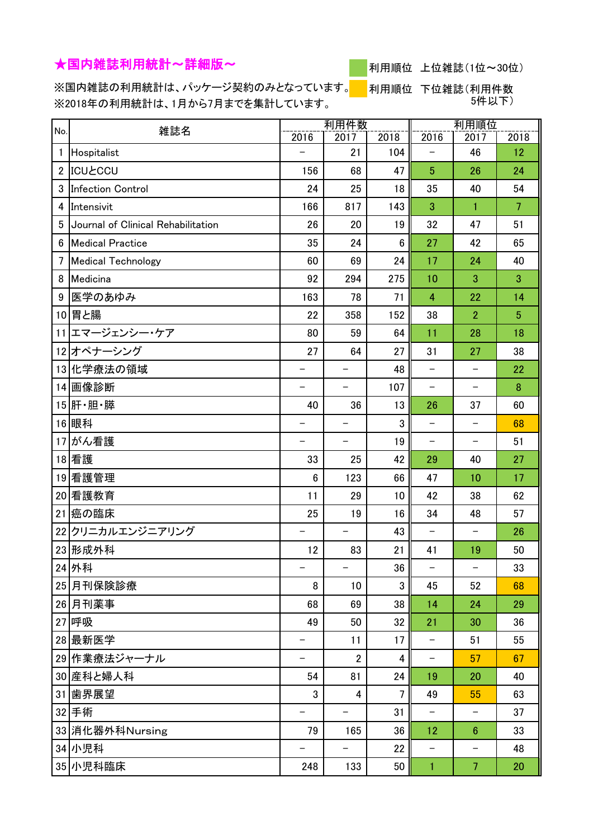## ★国内雑誌利用統計~詳細版~



利用順位 上位雑誌(1位~30位)

※国内雑誌の利用統計は、パッケージ契約のみとなっています。 ※2018年の利用統計は、1月から7月までを集計しています。

<mark>│ </mark>利用順位 下位雑誌(利用件数 5件以下)

| No.            | 雑誌名                                |                          | 利用件数                     |             |                   | 利用順位                     |                |
|----------------|------------------------------------|--------------------------|--------------------------|-------------|-------------------|--------------------------|----------------|
| $\mathbf{1}$   | Hospitalist                        | 2016                     | 2017<br>21               | 2018<br>104 | 2016              | 2017<br>46               | 2018<br>12     |
| $\overline{2}$ | <b>ICUŁCCU</b>                     | 156                      | 68                       | 47          | 5                 | 26                       | 24             |
| 3              | Infection Control                  | 24                       | 25                       | 18          | 35                | 40                       | 54             |
| 4              | Intensivit                         | 166                      | 817                      | 143         | 3                 | $\mathbf{1}$             | $\overline{7}$ |
| 5              | Journal of Clinical Rehabilitation | 26                       | 20                       | 19          | 32                | 47                       | 51             |
| 6              | <b>Medical Practice</b>            | 35                       | 24                       | 6           | 27                | 42                       | 65             |
| 7              | <b>Medical Technology</b>          | 60                       | 69                       | 24          | 17                | 24                       | 40             |
| 8              | Medicina                           | 92                       | 294                      | 275         | 10                | 3                        | 3              |
| 9              | 医学のあゆみ                             | 163                      | 78                       | 71          | $\overline{4}$    | 22                       | 14             |
|                | 10 胃と腸                             | 22                       | 358                      | 152         | 38                | $\overline{2}$           | $\overline{5}$ |
|                | 11 エマージェンシー・ケア                     | 80                       | 59                       | 64          | 11                | 28                       | 18             |
|                | 12オペナーシング                          | 27                       | 64                       | 27          | 31                | 27                       | 38             |
|                | 13 化学療法の領域                         |                          |                          | 48          | $\qquad \qquad -$ |                          | 22             |
|                | 14 画像診断                            | $\overline{\phantom{0}}$ |                          | 107         | $\qquad \qquad -$ |                          | 8              |
|                | 15 肝·胆·膵                           | 40                       | 36                       | 13          | 26                | 37                       | 60             |
|                | 16 眼科                              |                          |                          | 3           | -                 |                          | 68             |
| 17             | がん看護                               | -                        | $\qquad \qquad -$        | 19          | $\qquad \qquad -$ | -                        | 51             |
|                | 18 看護                              | 33                       | 25                       | 42          | 29                | 40                       | 27             |
| 19             | 看護管理                               | 6                        | 123                      | 66          | 47                | 10                       | 17             |
|                | 20 看護教育                            | 11                       | 29                       | 10          | 42                | 38                       | 62             |
| 21             | 癌の臨床                               | 25                       | 19                       | 16          | 34                | 48                       | 57             |
|                | 22クリニカルエンジニアリング                    |                          | $\overline{\phantom{0}}$ | 43          | $\qquad \qquad -$ |                          | 26             |
|                | 23 形成外科                            | 12                       | 83                       | 21          | 41                | 19                       | 50             |
|                | 24 外科                              | $\qquad \qquad -$        | $\qquad \qquad -$        | 36          | $\qquad \qquad -$ | $\overline{\phantom{m}}$ | 33             |
|                | 25 月刊保険診療                          | 8                        | 10                       | 3           | 45                | 52                       | 68             |
|                | 26 月刊薬事                            | 68                       | 69                       | 38          | 14                | 24                       | 29             |
|                | 27 呼吸                              | 49                       | 50                       | 32          | 21                | 30                       | 36             |
|                | 28 最新医学                            |                          | 11                       | 17          | -                 | 51                       | 55             |
|                | 29 作業療法ジャーナル                       | -                        | $\overline{2}$           | 4           | -                 | 57                       | 67             |
|                | 30 産科と婦人科                          | 54                       | 81                       | 24          | 19                | 20                       | 40             |
|                | 31 歯界展望                            | 3                        | 4                        | 7           | 49                | 55                       | 63             |
|                | 32手術                               | $\qquad \qquad -$        | $\overline{\phantom{0}}$ | 31          | -                 | $\qquad \qquad -$        | 37             |
|                | 33 消化器外科Nursing                    | 79                       | 165                      | 36          | 12                | $6\phantom{1}$           | 33             |
|                | 34 小児科                             | $\overline{\phantom{0}}$ |                          | 22          | -                 |                          | 48             |
|                | 35 小児科臨床                           | 248                      | 133                      | 50          | 1                 | $\overline{7}$           | 20             |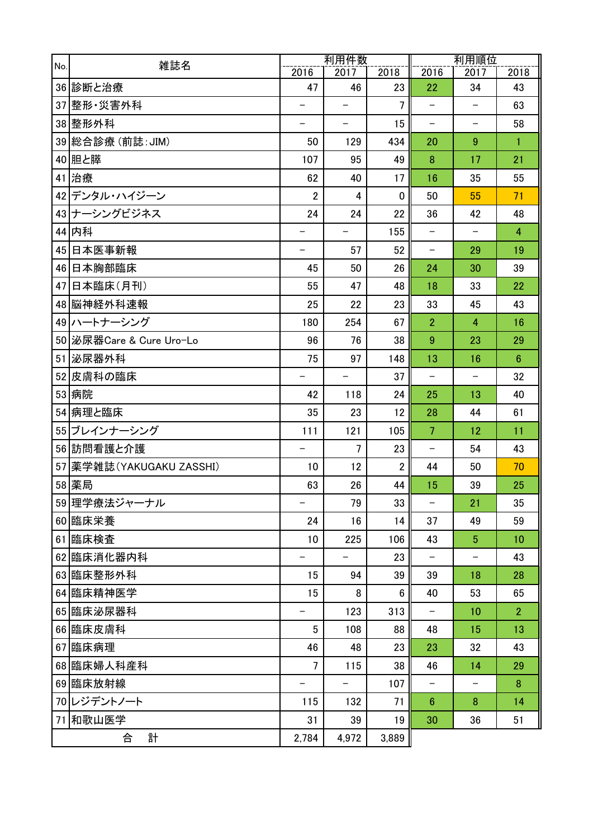| No. | 雑誌名                      | 利用件数                           |                                | 利用順位                 |                          |                                |                 |
|-----|--------------------------|--------------------------------|--------------------------------|----------------------|--------------------------|--------------------------------|-----------------|
|     |                          | 2016                           | 2017                           | 2018                 | 2016                     | 2017                           | 2018            |
|     | 36 診断と治療                 | 47<br>$\overline{\phantom{0}}$ | 46<br>$\overline{\phantom{0}}$ | 23<br>$\overline{7}$ | 22<br>$\qquad \qquad -$  | 34<br>$\overline{\phantom{m}}$ | 43              |
|     | 37 整形 災害外科               | $\overline{\phantom{0}}$       | $\equiv$                       |                      |                          |                                | 63              |
|     | 38 整形外科                  |                                |                                | 15                   | $\qquad \qquad -$        | $\overline{\phantom{m}}$       | 58              |
|     | 39 総合診療 (前誌: JIM)        | 50                             | 129                            | 434                  | 20                       | 9                              | $\mathbf{1}$    |
|     | 40 胆と膵                   | 107                            | 95                             | 49                   | 8                        | 17                             | 21              |
|     | 41 治療                    | 62                             | 40                             | 17                   | 16                       | 35                             | 55              |
|     | 42デンタル・ハイジーン             | $\overline{2}$                 | 4                              | $\mathbf 0$          | 50                       | 55                             | 71              |
|     | 43 ナーシングビジネス             | 24                             | 24                             | 22                   | 36                       | 42                             | 48              |
|     | 44 内科                    |                                |                                | 155                  |                          |                                | $\overline{4}$  |
|     | 45 日本医事新報                | -                              | 57                             | 52                   | $\qquad \qquad -$        | 29                             | 19              |
|     | 46 日本胸部臨床                | 45                             | 50                             | 26                   | 24                       | 30                             | 39              |
|     | 47 日本臨床(月刊)              | 55                             | 47                             | 48                   | 18                       | 33                             | 22              |
|     | 48 脳神経外科速報               | 25                             | 22                             | 23                   | 33                       | 45                             | 43              |
|     | 49 ハートナーシング              | 180                            | 254                            | 67                   | $\overline{2}$           | 4                              | 16              |
|     | 50 泌尿器Care & Cure Uro-Lo | 96                             | 76                             | 38                   | 9                        | 23                             | 29              |
|     | 51 泌尿器外科                 | 75                             | 97                             | 148                  | 13                       | 16                             | $6\phantom{1}6$ |
|     | 52 皮膚科の臨床                | -                              |                                | 37                   | $\qquad \qquad -$        |                                | 32              |
|     | 53 病院                    | 42                             | 118                            | 24                   | 25                       | 13                             | 40              |
|     | 54 病理と臨床                 | 35                             | 23                             | 12                   | 28                       | 44                             | 61              |
|     | 55 ブレインナーシング             | 111                            | 121                            | 105                  | $\overline{7}$           | 12                             | 11              |
|     | 56 訪問看護と介護               | $\overline{\phantom{0}}$       | 7                              | 23                   | $\qquad \qquad -$        | 54                             | 43              |
|     | 57 薬学雑誌(YAKUGAKU ZASSHI) | 10                             | 12                             | $\mathbf{2}$         | 44                       | 50                             | 70              |
|     | 58 薬局                    | 63                             | 26                             | 44                   | 15                       | 39                             | 25              |
|     | 59 理学療法ジャーナル             | $\qquad \qquad -$              | 79                             | 33                   | $\overline{\phantom{m}}$ | 21                             | 35              |
|     | 60 臨床栄養                  | 24                             | 16                             | 14                   | 37                       | 49                             | 59              |
|     | 61 臨床検査                  | 10                             | 225                            | 106                  | 43                       | 5 <sup>5</sup>                 | 10              |
|     | 62 臨床消化器内科               | $\qquad \qquad -$              | $\overline{\phantom{0}}$       | 23                   | $\qquad \qquad -$        |                                | 43              |
|     | 63 臨床整形外科                | 15                             | 94                             | 39                   | 39                       | 18                             | 28              |
|     | 64 臨床精神医学                | 15                             | 8                              | 6                    | 40                       | 53                             | 65              |
|     | 65 臨床泌尿器科                | $\qquad \qquad -$              | 123                            | 313                  | $\qquad \qquad -$        | 10                             | $\overline{2}$  |
|     | 66 臨床皮膚科                 | 5                              | 108                            | 88                   | 48                       | 15                             | 13              |
|     | 67 臨床病理                  | 46                             | 48                             | 23                   | 23                       | 32                             | 43              |
|     | 68 臨床婦人科産科               | 7                              | 115                            | 38                   | 46                       | 14                             | 29              |
|     | 69 臨床放射線                 | $\qquad \qquad -$              | $\overline{\phantom{0}}$       | 107                  | $\qquad \qquad -$        | -                              | 8               |
|     | 70レジデントノート               | 115                            | 132                            | 71                   | $6\phantom{1}$           | 8                              | 14              |
|     | 71 和歌山医学                 | 31                             | 39                             | 19                   | 30                       | 36                             | 51              |
|     | 計<br>合                   | 2,784                          | 4,972                          | 3,889                |                          |                                |                 |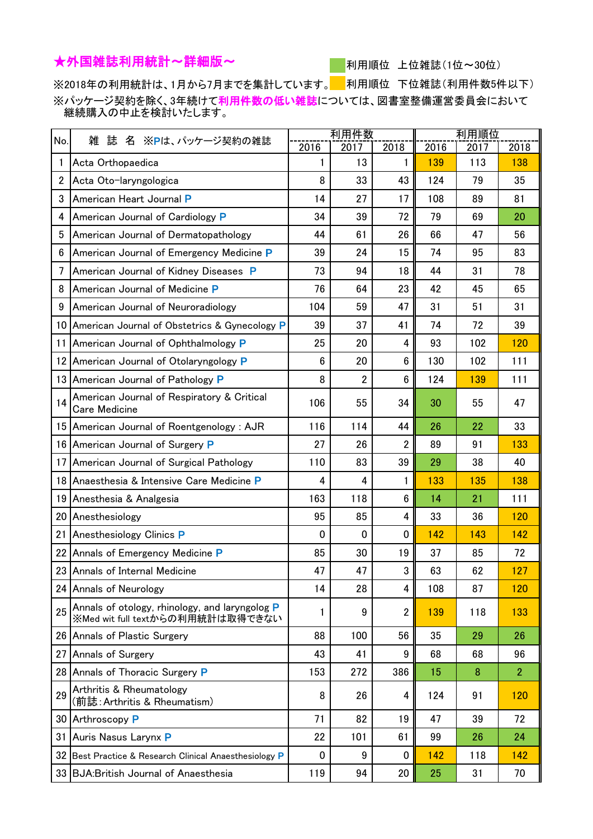## ★外国雑誌利用統計~詳細版~

利用順位 上位雑誌(1位~30位)

※2018年の利用統計は、1月から7月までを集計しています。 利用順位 下位雑誌(利用件数5件以下) ※パッケージ契約を除く、3年続けて利用件数の低い雑誌については、図書室整備運営委員会において 継続購入の中止を検討いたします。

| No.             | 誌 名 ※Pは、パッケージ契約の雑誌<br>雑                                                            | 利用件数        |      |                  | 利用順位 |      |                |
|-----------------|------------------------------------------------------------------------------------|-------------|------|------------------|------|------|----------------|
|                 |                                                                                    | 2016        | 2017 | 2018             | 2016 | 2017 | 2018           |
| 1               | Acta Orthopaedica                                                                  | 1           | 13   | 1                | 139  | 113  | 138            |
| $\mathbf{2}$    | Acta Oto-laryngologica                                                             | 8           | 33   | 43               | 124  | 79   | 35             |
| 3               | American Heart Journal P                                                           | 14          | 27   | 17               | 108  | 89   | 81             |
| 4               | American Journal of Cardiology P                                                   | 34          | 39   | 72               | 79   | 69   | 20             |
| 5               | American Journal of Dermatopathology                                               | 44          | 61   | 26               | 66   | 47   | 56             |
| 6               | American Journal of Emergency Medicine P                                           | 39          | 24   | 15               | 74   | 95   | 83             |
| 7               | American Journal of Kidney Diseases P                                              | 73          | 94   | 18               | 44   | 31   | 78             |
| 8               | American Journal of Medicine P                                                     | 76          | 64   | 23               | 42   | 45   | 65             |
| 9               | American Journal of Neuroradiology                                                 | 104         | 59   | 47               | 31   | 51   | 31             |
| 10              | American Journal of Obstetrics & Gynecology P                                      | 39          | 37   | 41               | 74   | 72   | 39             |
| 11              | American Journal of Ophthalmology P                                                | 25          | 20   | 4                | 93   | 102  | 120            |
| 12 <sub>1</sub> | American Journal of Otolaryngology P                                               | 6           | 20   | $6\phantom{1}$   | 130  | 102  | 111            |
|                 | 13 American Journal of Pathology P                                                 | 8           | 2    | $\boldsymbol{6}$ | 124  | 139  | 111            |
| 14              | American Journal of Respiratory & Critical<br><b>Care Medicine</b>                 | 106         | 55   | 34               | 30   | 55   | 47             |
|                 | 15 American Journal of Roentgenology: AJR                                          | 116         | 114  | 44               | 26   | 22   | 33             |
|                 | 16 American Journal of Surgery P                                                   | 27          | 26   | $\overline{2}$   | 89   | 91   | 133            |
| 17 <sup>1</sup> | American Journal of Surgical Pathology                                             | 110         | 83   | 39               | 29   | 38   | 40             |
|                 | 18 Anaesthesia & Intensive Care Medicine P                                         | 4           | 4    | 1                | 133  | 135  | 138            |
|                 | 19 Anesthesia & Analgesia                                                          | 163         | 118  | $6\phantom{1}$   | 14   | 21   | 111            |
|                 | 20 Anesthesiology                                                                  | 95          | 85   | 4                | 33   | 36   | 120            |
| 21              | Anesthesiology Clinics P                                                           | 0           | 0    | 0                | 142  | 143  | 142            |
|                 | 22 Annals of Emergency Medicine P                                                  | 85          | 30   | 19               | 37   | 85   | 72             |
|                 | 23 Annals of Internal Medicine                                                     | 47          | 47   | 3                | 63   | 62   | 127            |
|                 | 24 Annals of Neurology                                                             | 14          | 28   | 4                | 108  | 87   | 120            |
| 25              | Annals of otology, rhinology, and laryngolog P<br>※Med wit full textからの利用統計は取得できない | 1           | 9    | $\overline{2}$   | 139  | 118  | 133            |
|                 | 26 Annals of Plastic Surgery                                                       | 88          | 100  | 56               | 35   | 29   | 26             |
| 27              | Annals of Surgery                                                                  | 43          | 41   | 9                | 68   | 68   | 96             |
|                 | 28 Annals of Thoracic Surgery P                                                    | 153         | 272  | 386              | 15   | 8    | $\overline{2}$ |
| 29              | Arthritis & Rheumatology<br>(前誌:Arthritis & Rheumatism)                            | 8           | 26   | 4                | 124  | 91   | 120            |
|                 | 30 Arthroscopy P                                                                   | 71          | 82   | 19               | 47   | 39   | 72             |
|                 | 31 Auris Nasus Larynx P                                                            | 22          | 101  | 61               | 99   | 26   | 24             |
|                 | 32 Best Practice & Research Clinical Anaesthesiology P                             | $\mathbf 0$ | 9    | 0                | 142  | 118  | 142            |
|                 | 33 BJA: British Journal of Anaesthesia                                             | 119         | 94   | 20               | 25   | 31   | 70             |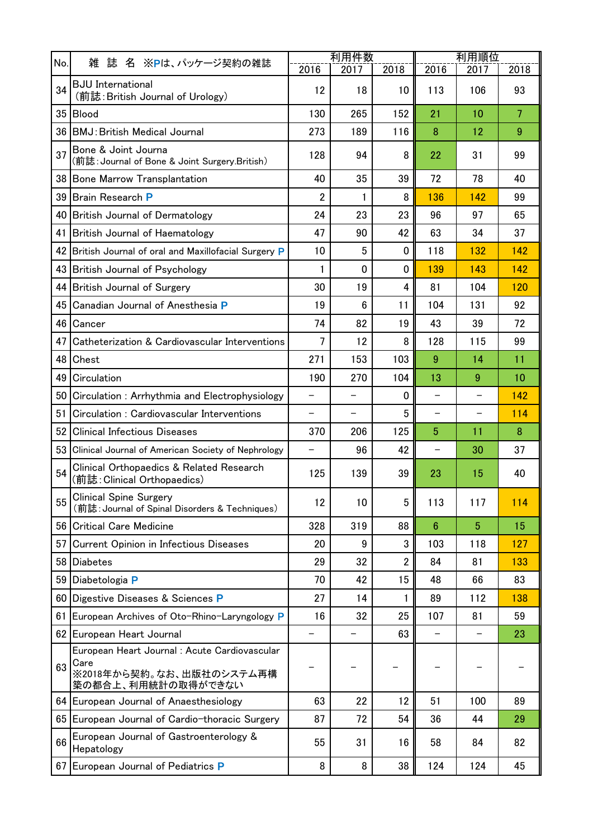|                 |                                                                                                        | 利用件数                     |                          |                | 利用順位                     |                          |                |
|-----------------|--------------------------------------------------------------------------------------------------------|--------------------------|--------------------------|----------------|--------------------------|--------------------------|----------------|
| No.             | - 誌 名 ※Pは、パッケージ契約の雑誌<br>雑                                                                              | 2016                     | 2017                     | 2018           | 2016                     | 2017                     | 2018           |
| 34              | <b>BJU</b> International<br>(前誌: British Journal of Urology)                                           | 12                       | 18                       | 10             | 113                      | 106                      | 93             |
| 35 <sup>5</sup> | Blood                                                                                                  | 130                      | 265                      | 152            | 21                       | 10                       | $\overline{7}$ |
| 36              | <b>BMJ: British Medical Journal</b>                                                                    | 273                      | 189                      | 116            | 8                        | 12                       | 9              |
| 37              | Bone & Joint Journa<br>(前誌: Journal of Bone & Joint Surgery.British)                                   | 128                      | 94                       | 8              | 22                       | 31                       | 99             |
|                 | 38 Bone Marrow Transplantation                                                                         | 40                       | 35                       | 39             | 72                       | 78                       | 40             |
| 39              | <b>Brain Research P</b>                                                                                | 2                        | 1                        | 8              | 136                      | 142                      | 99             |
|                 | 40 British Journal of Dermatology                                                                      | 24                       | 23                       | 23             | 96                       | 97                       | 65             |
| 41              | British Journal of Haematology                                                                         | 47                       | 90                       | 42             | 63                       | 34                       | 37             |
|                 | 42 British Journal of oral and Maxillofacial Surgery P                                                 | 10                       | 5                        | 0              | 118                      | 132                      | 142            |
| 43              | <b>British Journal of Psychology</b>                                                                   | 1                        | $\mathbf{0}$             | $\Omega$       | 139                      | 143                      | 142            |
|                 | 44 British Journal of Surgery                                                                          | 30                       | 19                       | 4              | 81                       | 104                      | 120            |
| 45              | Canadian Journal of Anesthesia P                                                                       | 19                       | 6                        | 11             | 104                      | 131                      | 92             |
| 46              | Cancer                                                                                                 | 74                       | 82                       | 19             | 43                       | 39                       | 72             |
| 47              | Catheterization & Cardiovascular Interventions                                                         | 7                        | 12                       | 8              | 128                      | 115                      | 99             |
| 48              | Chest                                                                                                  | 271                      | 153                      | 103            | 9                        | 14                       | 11             |
| 49              | Circulation                                                                                            | 190                      | 270                      | 104            | 13                       | 9                        | 10             |
| 50              | Circulation: Arrhythmia and Electrophysiology                                                          | $\overline{\phantom{0}}$ | $\overline{\phantom{0}}$ | 0              | $\overline{\phantom{0}}$ | $\overline{\phantom{0}}$ | 142            |
| 51              | Circulation : Cardiovascular Interventions                                                             | $\overline{\phantom{0}}$ |                          | 5              | $\overline{\phantom{0}}$ | $\qquad \qquad -$        | 114            |
| 52              | <b>Clinical Infectious Diseases</b>                                                                    | 370                      | 206                      | 125            | 5                        | 11                       | 8              |
| 53              | Clinical Journal of American Society of Nephrology                                                     |                          | 96                       | 42             | $\overline{\phantom{0}}$ | 30                       | 37             |
| 54              | Clinical Orthopaedics & Related Research<br>(前誌:Clinical Orthopaedics)                                 | 125                      | 139                      | 39             | 23                       | 15                       | 40             |
| 55              | <b>Clinical Spine Surgery</b><br>(前誌: Journal of Spinal Disorders & Techniques)                        | 12                       | 10                       | 5              | 113                      | 117                      | 114            |
|                 | 56 Critical Care Medicine                                                                              | 328                      | 319                      | 88             | $6\phantom{1}6$          | $5\phantom{.0}$          | 15             |
| 57 <sub>l</sub> | Current Opinion in Infectious Diseases                                                                 | 20                       | 9                        | 3              | 103                      | 118                      | 127            |
|                 | 58 Diabetes                                                                                            | 29                       | 32                       | $\overline{2}$ | 84                       | 81                       | 133            |
|                 | 59 Diabetologia P                                                                                      | 70                       | 42                       | 15             | 48                       | 66                       | 83             |
|                 | 60 Digestive Diseases & Sciences P                                                                     | 27                       | 14                       | 1              | 89                       | 112                      | 138            |
|                 | 61 European Archives of Oto-Rhino-Laryngology P                                                        | 16                       | 32                       | 25             | 107                      | 81                       | 59             |
|                 | 62 European Heart Journal                                                                              | $\overline{\phantom{0}}$ |                          | 63             | $\overline{\phantom{0}}$ | $\qquad \qquad -$        | 23             |
| 63              | European Heart Journal: Acute Cardiovascular<br>Care<br>※2018年から契約。なお、出版社のシステム再構<br>築の都合上、利用統計の取得ができない |                          |                          |                |                          |                          |                |
|                 | 64 European Journal of Anaesthesiology                                                                 | 63                       | 22                       | 12             | 51                       | 100                      | 89             |
|                 | 65 European Journal of Cardio-thoracic Surgery                                                         | 87                       | 72                       | 54             | 36                       | 44                       | 29             |
| 66              | European Journal of Gastroenterology &<br>Hepatology                                                   | 55                       | 31                       | 16             | 58                       | 84                       | 82             |
|                 | 67 European Journal of Pediatrics P                                                                    | 8                        | 8                        | 38             | 124                      | 124                      | 45             |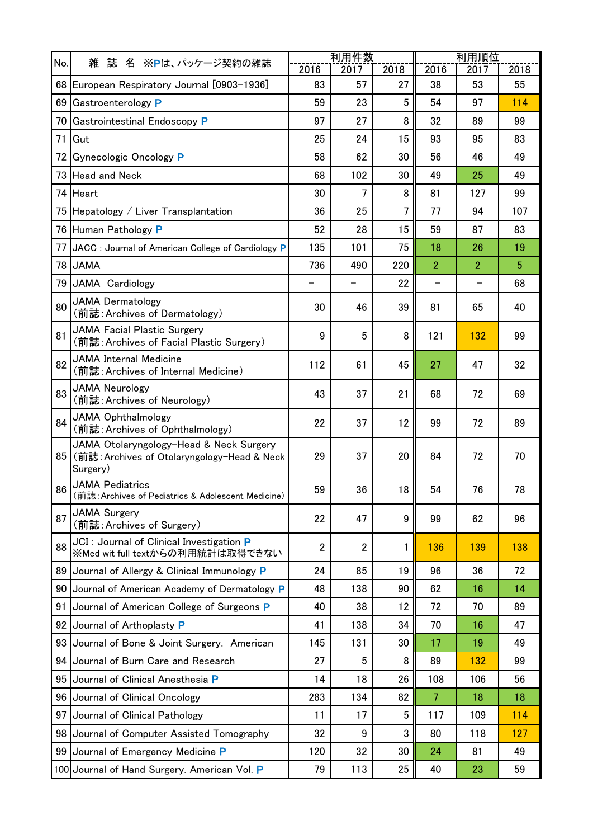| No. | 雑<br>名 ※Pは、パッケージ契約の雑誌                                                                              | 利用件数           |                          |      | 利用順位                     |                          |                |  |
|-----|----------------------------------------------------------------------------------------------------|----------------|--------------------------|------|--------------------------|--------------------------|----------------|--|
|     | 誌                                                                                                  | 2016           | 2017                     | 2018 | 2016                     | 2017                     | 2018           |  |
|     | 68   European Respiratory Journal [0903-1936]                                                      | 83             | 57                       | 27   | 38                       | 53                       | 55             |  |
|     | 69 Gastroenterology P                                                                              | 59             | 23                       | 5    | 54                       | 97                       | 114            |  |
| 70  | Gastrointestinal Endoscopy P                                                                       | 97             | 27                       | 8    | 32                       | 89                       | 99             |  |
| 71  | Gut                                                                                                | 25             | 24                       | 15   | 93                       | 95                       | 83             |  |
| 72  | Gynecologic Oncology P                                                                             | 58             | 62                       | 30   | 56                       | 46                       | 49             |  |
|     | 73 Head and Neck                                                                                   | 68             | 102                      | 30   | 49                       | 25                       | 49             |  |
|     | 74 Heart                                                                                           | 30             | $\overline{7}$           | 8    | 81                       | 127                      | 99             |  |
|     | 75 Hepatology / Liver Transplantation                                                              | 36             | 25                       | 7    | 77                       | 94                       | 107            |  |
|     | 76 Human Pathology P                                                                               | 52             | 28                       | 15   | 59                       | 87                       | 83             |  |
| 77  | JACC : Journal of American College of Cardiology P                                                 | 135            | 101                      | 75   | 18                       | 26                       | 19             |  |
| 78  | <b>JAMA</b>                                                                                        | 736            | 490                      | 220  | $\overline{2}$           | $\overline{2}$           | $\overline{5}$ |  |
| 79  | JAMA Cardiology                                                                                    |                | $\overline{\phantom{0}}$ | 22   | $\overline{\phantom{0}}$ | $\overline{\phantom{0}}$ | 68             |  |
| 80  | <b>JAMA Dermatology</b><br>(前誌: Archives of Dermatology)                                           | 30             | 46                       | 39   | 81                       | 65                       | 40             |  |
| 81  | <b>JAMA Facial Plastic Surgery</b><br>(前誌: Archives of Facial Plastic Surgery)                     | 9              | 5                        | 8    | 121                      | 132                      | 99             |  |
| 82  | JAMA Internal Medicine<br>(前誌:Archives of Internal Medicine)                                       | 112            | 61                       | 45   | 27                       | 47                       | 32             |  |
| 83  | <b>JAMA Neurology</b><br>(前誌: Archives of Neurology)                                               | 43             | 37                       | 21   | 68                       | 72                       | 69             |  |
| 84  | <b>JAMA Ophthalmology</b><br>(前誌: Archives of Ophthalmology)                                       | 22             | 37                       | 12   | 99                       | 72                       | 89             |  |
| 85  | JAMA Otolaryngology-Head & Neck Surgery<br>(前誌: Archives of Otolaryngology-Head & Neck<br>Surgery) | 29             | 37                       | 20   | 84                       | 72                       | 70             |  |
| 86  | <b>JAMA Pediatrics</b><br>(前誌: Archives of Pediatrics & Adolescent Medicine)                       | 59             | 36                       | 18   | 54                       | 76                       | 78             |  |
| 87  | <b>JAMA Surgery</b><br>(前誌: Archives of Surgery)                                                   | 22             | 47                       | 9    | 99                       | 62                       | 96             |  |
| 88  | JCI : Journal of Clinical Investigation P<br>※Med wit full textからの利用統計は取得できない                      | $\overline{2}$ | $\overline{2}$           | 1    | 136                      | 139                      | 138            |  |
| 89  | Journal of Allergy & Clinical Immunology P                                                         | 24             | 85                       | 19   | 96                       | 36                       | 72             |  |
| 90  | Journal of American Academy of Dermatology P                                                       | 48             | 138                      | 90   | 62                       | 16                       | 14             |  |
| 91  | Journal of American College of Surgeons P                                                          | 40             | 38                       | 12   | 72                       | 70                       | 89             |  |
| 92  | Journal of Arthoplasty P                                                                           | 41             | 138                      | 34   | 70                       | 16                       | 47             |  |
| 93  | Journal of Bone & Joint Surgery. American                                                          | 145            | 131                      | 30   | 17                       | 19                       | 49             |  |
| 94  | Journal of Burn Care and Research                                                                  | 27             | 5                        | 8    | 89                       | 132                      | 99             |  |
| 95  | Journal of Clinical Anesthesia P                                                                   | 14             | 18                       | 26   | 108                      | 106                      | 56             |  |
| 96  | Journal of Clinical Oncology                                                                       | 283            | 134                      | 82   | $\overline{7}$           | 18                       | 18             |  |
| 97  | Journal of Clinical Pathology                                                                      | 11             | 17                       | 5    | 117                      | 109                      | 114            |  |
| 98  | Journal of Computer Assisted Tomography                                                            | 32             | 9                        | 3    | 80                       | 118                      | 127            |  |
|     | 99 Journal of Emergency Medicine P                                                                 | 120            | 32                       | 30   | 24                       | 81                       | 49             |  |
|     | 100 Journal of Hand Surgery. American Vol. P                                                       | 79             | 113                      | 25   | 40                       | 23                       | 59             |  |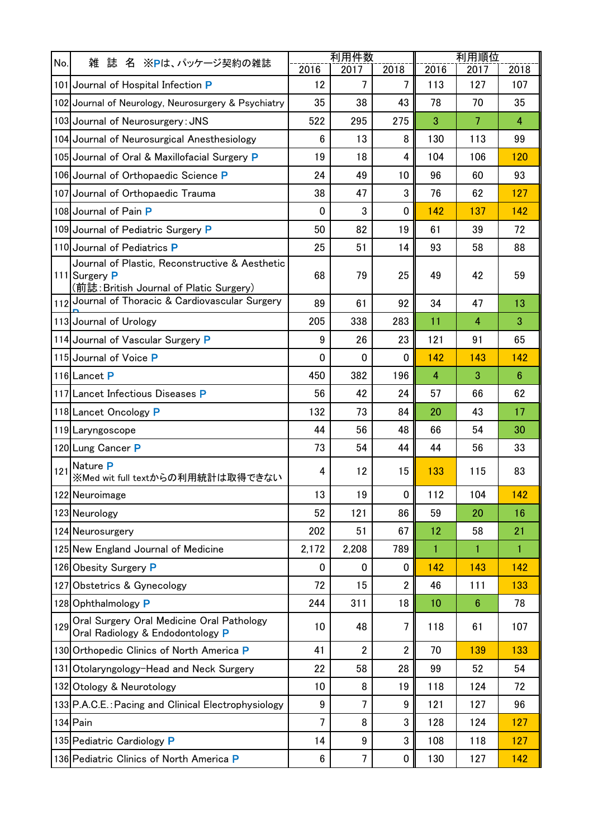|     |                                                                                                            | 利用件数             | 利用順位           |                |                |                |                |
|-----|------------------------------------------------------------------------------------------------------------|------------------|----------------|----------------|----------------|----------------|----------------|
| No. | 誌 名 ※Pは、パッケージ契約の雑誌<br>雑                                                                                    | 2016             | 2017           | 2018           | 2016           | 2017           | 2018           |
|     | 101 Journal of Hospital Infection P                                                                        | 12               | 7              | $\overline{7}$ | 113            | 127            | 107            |
|     | 102 Journal of Neurology, Neurosurgery & Psychiatry                                                        | 35               | 38             | 43             | 78             | 70             | 35             |
|     | 103 Journal of Neurosurgery: JNS                                                                           | 522              | 295            | 275            | 3              | $\overline{7}$ | $\overline{4}$ |
|     | 104 Journal of Neurosurgical Anesthesiology                                                                | 6                | 13             | 8              | 130            | 113            | 99             |
|     | 105 Journal of Oral & Maxillofacial Surgery P                                                              | 19               | 18             | 4              | 104            | 106            | 120            |
|     | 106 Journal of Orthopaedic Science P                                                                       | 24               | 49             | 10             | 96             | 60             | 93             |
|     | 107 Journal of Orthopaedic Trauma                                                                          | 38               | 47             | 3              | 76             | 62             | 127            |
|     | 108 Journal of Pain P                                                                                      | 0                | 3              | 0              | 142            | 137            | 142            |
|     | 109 Journal of Pediatric Surgery P                                                                         | 50               | 82             | 19             | 61             | 39             | 72             |
|     | 110 Journal of Pediatrics P                                                                                | 25               | 51             | 14             | 93             | 58             | 88             |
|     | Journal of Plastic, Reconstructive & Aesthetic<br>111 Surgery P<br>(前誌: British Journal of Platic Surgery) | 68               | 79             | 25             | 49             | 42             | 59             |
|     | 112 Journal of Thoracic & Cardiovascular Surgery                                                           | 89               | 61             | 92             | 34             | 47             | 13             |
|     | 113 Journal of Urology                                                                                     | 205              | 338            | 283            | 11             | 4              | 3              |
|     | 114 Journal of Vascular Surgery P                                                                          | 9                | 26             | 23             | 121            | 91             | 65             |
|     | 115 Journal of Voice P                                                                                     | 0                | 0              | 0              | 142            | 143            | 142            |
|     | 116 Lancet P                                                                                               | 450              | 382            | 196            | $\overline{4}$ | 3              | $6\phantom{1}$ |
|     | 117 Lancet Infectious Diseases P                                                                           | 56               | 42             | 24             | 57             | 66             | 62             |
|     | 118 Lancet Oncology P                                                                                      | 132              | 73             | 84             | 20             | 43             | 17             |
|     | 119 Laryngoscope                                                                                           | 44               | 56             | 48             | 66             | 54             | 30             |
|     | 120 Lung Cancer P                                                                                          | 73               | 54             | 44             | 44             | 56             | 33             |
| 121 | Nature P<br>※Med wit full textからの利用統計は取得できない                                                               | 4                | 12             | 15             | 133            | 115            | 83             |
|     | 122 Neuroimage                                                                                             | 13               | 19             | 0              | 112            | 104            | 142            |
|     | 123 Neurology                                                                                              | 52               | 121            | 86             | 59             | 20             | 16             |
|     | 124 Neurosurgery                                                                                           | 202              | 51             | 67             | 12             | 58             | 21             |
|     | 125 New England Journal of Medicine                                                                        | 2,172            | 2,208          | 789            | 1              | 1.             | 1              |
|     | 126 Obesity Surgery P                                                                                      | 0                | $\Omega$       | 0              | 142            | 143            | 142            |
|     | 127 Obstetrics & Gynecology                                                                                | 72               | 15             | $\overline{2}$ | 46             | 111            | 133            |
|     | 128 Ophthalmology P                                                                                        | 244              | 311            | 18             | 10             | 6              | 78             |
| 129 | Oral Surgery Oral Medicine Oral Pathology<br>Oral Radiology & Endodontology P                              | 10               | 48             | 7              | 118            | 61             | 107            |
|     | 130 Orthopedic Clinics of North America P                                                                  | 41               | $\overline{2}$ | $\overline{2}$ | 70             | 139            | 133            |
|     | 131 Otolaryngology-Head and Neck Surgery                                                                   | 22               | 58             | 28             | 99             | 52             | 54             |
|     | 132 Otology & Neurotology                                                                                  | 10               | 8              | 19             | 118            | 124            | 72             |
|     | 133 P.A.C.E.: Pacing and Clinical Electrophysiology                                                        | 9                | 7              | 9              | 121            | 127            | 96             |
|     | 134 Pain                                                                                                   | 7                | 8              | 3              | 128            | 124            | 127            |
|     | 135 Pediatric Cardiology P                                                                                 | 14               | 9              | 3              | 108            | 118            | 127            |
|     | 136 Pediatric Clinics of North America P                                                                   | $\boldsymbol{6}$ | 7              | 0              | 130            | 127            | 142            |